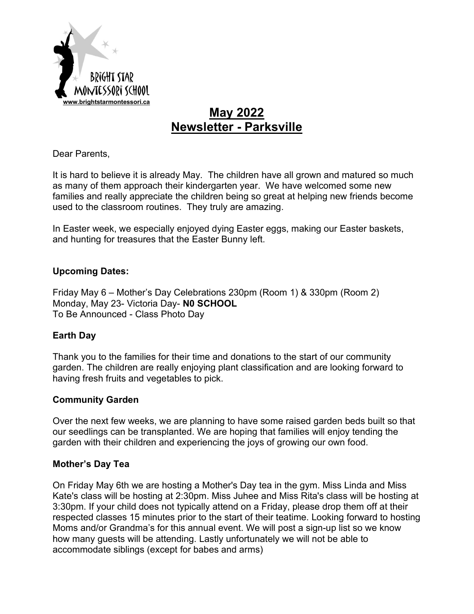

# **May 2022 Newsletter - Parksville**

Dear Parents,

It is hard to believe it is already May. The children have all grown and matured so much as many of them approach their kindergarten year. We have welcomed some new families and really appreciate the children being so great at helping new friends become used to the classroom routines. They truly are amazing.

In Easter week, we especially enjoyed dying Easter eggs, making our Easter baskets, and hunting for treasures that the Easter Bunny left.

#### **Upcoming Dates:**

Friday May 6 – Mother's Day Celebrations 230pm (Room 1) & 330pm (Room 2) Monday, May 23- Victoria Day- **N0 SCHOOL** To Be Announced - Class Photo Day

#### **Earth Day**

Thank you to the families for their time and donations to the start of our community garden. The children are really enjoying plant classification and are looking forward to having fresh fruits and vegetables to pick.

#### **Community Garden**

Over the next few weeks, we are planning to have some raised garden beds built so that our seedlings can be transplanted. We are hoping that families will enjoy tending the garden with their children and experiencing the joys of growing our own food.

#### **Mother's Day Tea**

On Friday May 6th we are hosting a Mother's Day tea in the gym. Miss Linda and Miss Kate's class will be hosting at 2:30pm. Miss Juhee and Miss Rita's class will be hosting at 3:30pm. If your child does not typically attend on a Friday, please drop them off at their respected classes 15 minutes prior to the start of their teatime. Looking forward to hosting Moms and/or Grandma's for this annual event. We will post a sign-up list so we know how many guests will be attending. Lastly unfortunately we will not be able to accommodate siblings (except for babes and arms)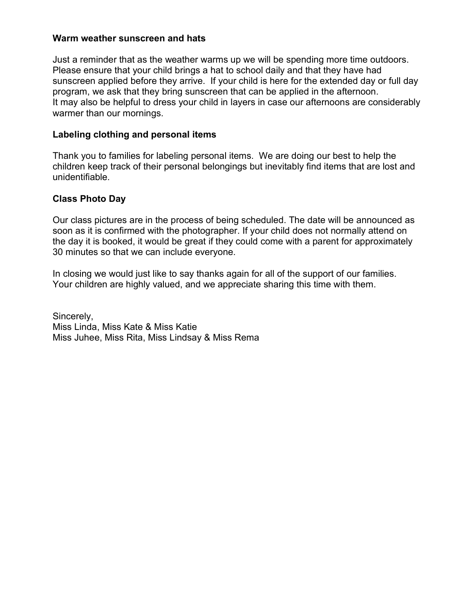#### **Warm weather sunscreen and hats**

Just a reminder that as the weather warms up we will be spending more time outdoors. Please ensure that your child brings a hat to school daily and that they have had sunscreen applied before they arrive. If your child is here for the extended day or full day program, we ask that they bring sunscreen that can be applied in the afternoon. It may also be helpful to dress your child in layers in case our afternoons are considerably warmer than our mornings.

#### **Labeling clothing and personal items**

Thank you to families for labeling personal items. We are doing our best to help the children keep track of their personal belongings but inevitably find items that are lost and unidentifiable.

#### **Class Photo Day**

Our class pictures are in the process of being scheduled. The date will be announced as soon as it is confirmed with the photographer. If your child does not normally attend on the day it is booked, it would be great if they could come with a parent for approximately 30 minutes so that we can include everyone.

In closing we would just like to say thanks again for all of the support of our families. Your children are highly valued, and we appreciate sharing this time with them.

Sincerely, Miss Linda, Miss Kate & Miss Katie Miss Juhee, Miss Rita, Miss Lindsay & Miss Rema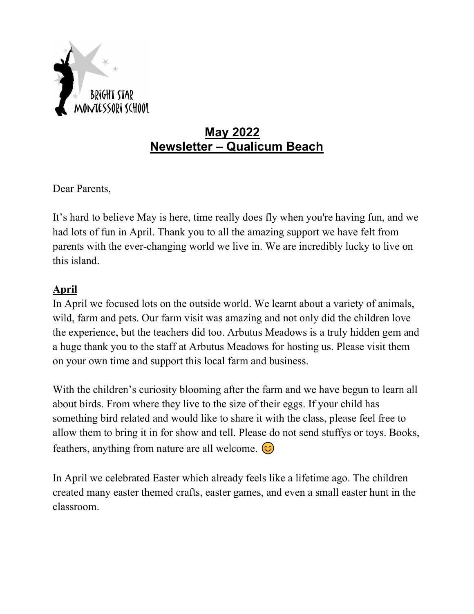

# **May 2022 Newsletter – Qualicum Beach**

Dear Parents,

It's hard to believe May is here, time really does fly when you're having fun, and we had lots of fun in April. Thank you to all the amazing support we have felt from parents with the ever-changing world we live in. We are incredibly lucky to live on this island.

## **April**

In April we focused lots on the outside world. We learnt about a variety of animals, wild, farm and pets. Our farm visit was amazing and not only did the children love the experience, but the teachers did too. Arbutus Meadows is a truly hidden gem and a huge thank you to the staff at Arbutus Meadows for hosting us. Please visit them on your own time and support this local farm and business.

With the children's curiosity blooming after the farm and we have begun to learn all about birds. From where they live to the size of their eggs. If your child has something bird related and would like to share it with the class, please feel free to allow them to bring it in for show and tell. Please do not send stuffys or toys. Books, feathers, anything from nature are all welcome.  $\circled{c}$ 

In April we celebrated Easter which already feels like a lifetime ago. The children created many easter themed crafts, easter games, and even a small easter hunt in the classroom.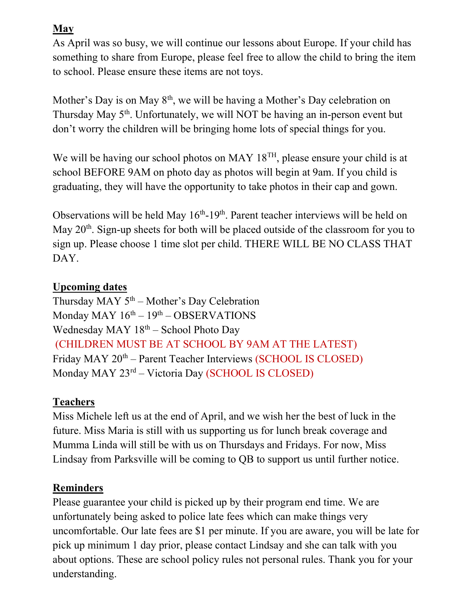## **May**

As April was so busy, we will continue our lessons about Europe. If your child has something to share from Europe, please feel free to allow the child to bring the item to school. Please ensure these items are not toys.

Mother's Day is on May  $8<sup>th</sup>$ , we will be having a Mother's Day celebration on Thursday May 5<sup>th</sup>. Unfortunately, we will NOT be having an in-person event but don't worry the children will be bringing home lots of special things for you.

We will be having our school photos on MAY  $18^{TH}$ , please ensure your child is at school BEFORE 9AM on photo day as photos will begin at 9am. If you child is graduating, they will have the opportunity to take photos in their cap and gown.

Observations will be held May  $16<sup>th</sup>$ -19<sup>th</sup>. Parent teacher interviews will be held on May  $20<sup>th</sup>$ . Sign-up sheets for both will be placed outside of the classroom for you to sign up. Please choose 1 time slot per child. THERE WILL BE NO CLASS THAT DAY.

### **Upcoming dates**

Thursday MAY  $5<sup>th</sup>$  – Mother's Day Celebration Monday MAY  $16<sup>th</sup> - 19<sup>th</sup> - OBSERVATIONS$ Wednesday MAY  $18<sup>th</sup>$  – School Photo Day (CHILDREN MUST BE AT SCHOOL BY 9AM AT THE LATEST) Friday MAY 20<sup>th</sup> – Parent Teacher Interviews (SCHOOL IS CLOSED) Monday MAY 23rd – Victoria Day (SCHOOL IS CLOSED)

## **Teachers**

Miss Michele left us at the end of April, and we wish her the best of luck in the future. Miss Maria is still with us supporting us for lunch break coverage and Mumma Linda will still be with us on Thursdays and Fridays. For now, Miss Lindsay from Parksville will be coming to QB to support us until further notice.

## **Reminders**

Please guarantee your child is picked up by their program end time. We are unfortunately being asked to police late fees which can make things very uncomfortable. Our late fees are \$1 per minute. If you are aware, you will be late for pick up minimum 1 day prior, please contact Lindsay and she can talk with you about options. These are school policy rules not personal rules. Thank you for your understanding.